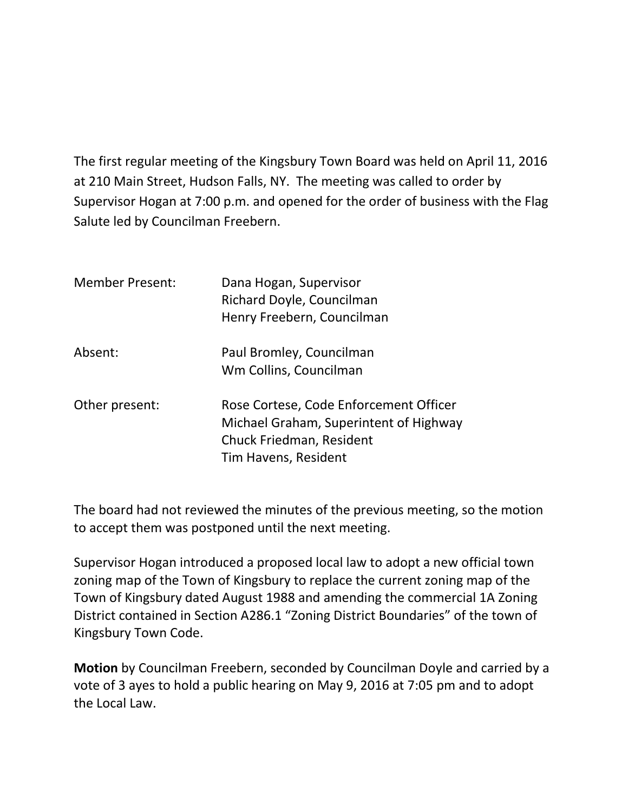The first regular meeting of the Kingsbury Town Board was held on April 11, 2016 at 210 Main Street, Hudson Falls, NY. The meeting was called to order by Supervisor Hogan at 7:00 p.m. and opened for the order of business with the Flag Salute led by Councilman Freebern.

| <b>Member Present:</b> | Dana Hogan, Supervisor<br>Richard Doyle, Councilman<br>Henry Freebern, Councilman                                                    |
|------------------------|--------------------------------------------------------------------------------------------------------------------------------------|
| Absent:                | Paul Bromley, Councilman<br>Wm Collins, Councilman                                                                                   |
| Other present:         | Rose Cortese, Code Enforcement Officer<br>Michael Graham, Superintent of Highway<br>Chuck Friedman, Resident<br>Tim Havens, Resident |

The board had not reviewed the minutes of the previous meeting, so the motion to accept them was postponed until the next meeting.

Supervisor Hogan introduced a proposed local law to adopt a new official town zoning map of the Town of Kingsbury to replace the current zoning map of the Town of Kingsbury dated August 1988 and amending the commercial 1A Zoning District contained in Section A286.1 "Zoning District Boundaries" of the town of Kingsbury Town Code.

**Motion** by Councilman Freebern, seconded by Councilman Doyle and carried by a vote of 3 ayes to hold a public hearing on May 9, 2016 at 7:05 pm and to adopt the Local Law.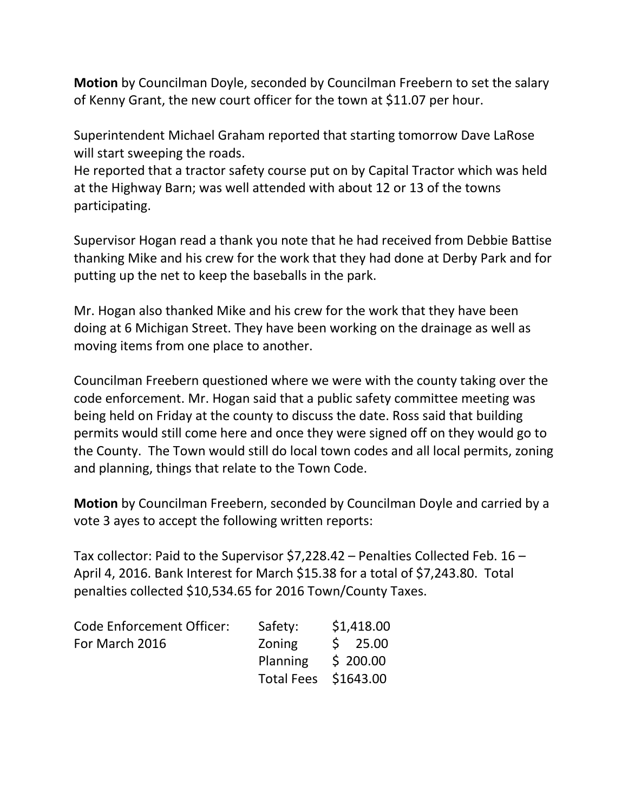**Motion** by Councilman Doyle, seconded by Councilman Freebern to set the salary of Kenny Grant, the new court officer for the town at \$11.07 per hour.

Superintendent Michael Graham reported that starting tomorrow Dave LaRose will start sweeping the roads.

He reported that a tractor safety course put on by Capital Tractor which was held at the Highway Barn; was well attended with about 12 or 13 of the towns participating.

Supervisor Hogan read a thank you note that he had received from Debbie Battise thanking Mike and his crew for the work that they had done at Derby Park and for putting up the net to keep the baseballs in the park.

Mr. Hogan also thanked Mike and his crew for the work that they have been doing at 6 Michigan Street. They have been working on the drainage as well as moving items from one place to another.

Councilman Freebern questioned where we were with the county taking over the code enforcement. Mr. Hogan said that a public safety committee meeting was being held on Friday at the county to discuss the date. Ross said that building permits would still come here and once they were signed off on they would go to the County. The Town would still do local town codes and all local permits, zoning and planning, things that relate to the Town Code.

**Motion** by Councilman Freebern, seconded by Councilman Doyle and carried by a vote 3 ayes to accept the following written reports:

Tax collector: Paid to the Supervisor \$7,228.42 – Penalties Collected Feb. 16 – April 4, 2016. Bank Interest for March \$15.38 for a total of \$7,243.80. Total penalties collected \$10,534.65 for 2016 Town/County Taxes.

| <b>Code Enforcement Officer:</b> | Safety:              | \$1,418.00          |
|----------------------------------|----------------------|---------------------|
| For March 2016                   | Zoning               | $\frac{1}{2}$ 25.00 |
|                                  | Planning             | \$200.00            |
|                                  | Total Fees \$1643.00 |                     |